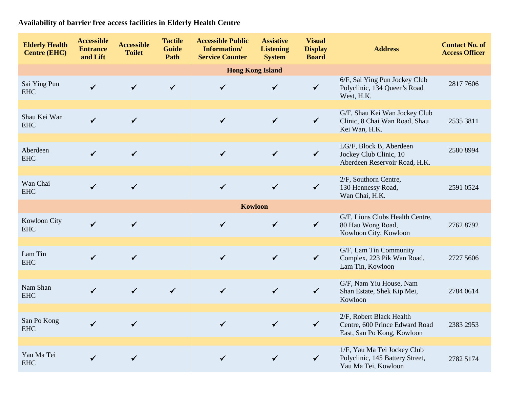**Availability of barrier free access facilities in Elderly Health Centre**

| <b>Elderly Health</b><br><b>Centre (EHC)</b> | <b>Accessible</b><br><b>Entrance</b><br>and Lift | <b>Accessible</b><br><b>Toilet</b> | <b>Tactile</b><br><b>Guide</b><br>Path | <b>Accessible Public</b><br>Information/<br><b>Service Counter</b> | <b>Assistive</b><br><b>Listening</b><br><b>System</b> | <b>Visual</b><br><b>Display</b><br><b>Board</b> | <b>Address</b>                                                                           | <b>Contact No. of</b><br><b>Access Officer</b> |  |  |  |  |
|----------------------------------------------|--------------------------------------------------|------------------------------------|----------------------------------------|--------------------------------------------------------------------|-------------------------------------------------------|-------------------------------------------------|------------------------------------------------------------------------------------------|------------------------------------------------|--|--|--|--|
| <b>Hong Kong Island</b>                      |                                                  |                                    |                                        |                                                                    |                                                       |                                                 |                                                                                          |                                                |  |  |  |  |
| Sai Ying Pun<br><b>EHC</b>                   | $\checkmark$                                     | $\checkmark$                       | $\checkmark$                           | $\checkmark$                                                       | $\checkmark$                                          | $\checkmark$                                    | 6/F, Sai Ying Pun Jockey Club<br>Polyclinic, 134 Queen's Road<br>West, H.K.              | 2817 7606                                      |  |  |  |  |
|                                              |                                                  |                                    |                                        |                                                                    |                                                       |                                                 |                                                                                          |                                                |  |  |  |  |
| Shau Kei Wan<br><b>EHC</b>                   | $\checkmark$                                     | $\checkmark$                       |                                        | $\checkmark$                                                       | $\checkmark$                                          | $\checkmark$                                    | G/F, Shau Kei Wan Jockey Club<br>Clinic, 8 Chai Wan Road, Shau<br>Kei Wan, H.K.          | 2535 3811                                      |  |  |  |  |
|                                              |                                                  |                                    |                                        |                                                                    |                                                       |                                                 |                                                                                          |                                                |  |  |  |  |
| Aberdeen<br><b>EHC</b>                       | $\checkmark$                                     | $\checkmark$                       |                                        | $\checkmark$                                                       | $\checkmark$                                          | $\checkmark$                                    | LG/F, Block B, Aberdeen<br>Jockey Club Clinic, 10<br>Aberdeen Reservoir Road, H.K.       | 2580 8994                                      |  |  |  |  |
|                                              |                                                  |                                    |                                        |                                                                    |                                                       |                                                 |                                                                                          |                                                |  |  |  |  |
| Wan Chai<br><b>EHC</b>                       | $\checkmark$                                     | $\checkmark$                       |                                        | $\checkmark$                                                       | $\checkmark$                                          | $\checkmark$                                    | 2/F, Southorn Centre,<br>130 Hennessy Road,<br>Wan Chai, H.K.                            | 2591 0524                                      |  |  |  |  |
|                                              |                                                  |                                    |                                        | <b>Kowloon</b>                                                     |                                                       |                                                 |                                                                                          |                                                |  |  |  |  |
| Kowloon City<br><b>EHC</b>                   | $\checkmark$                                     | $\checkmark$                       |                                        | $\checkmark$                                                       | $\checkmark$                                          | $\checkmark$                                    | G/F, Lions Clubs Health Centre,<br>80 Hau Wong Road,<br>Kowloon City, Kowloon            | 2762 8792                                      |  |  |  |  |
|                                              |                                                  |                                    |                                        |                                                                    |                                                       |                                                 |                                                                                          |                                                |  |  |  |  |
| Lam Tin<br><b>EHC</b>                        | $\checkmark$                                     | $\checkmark$                       |                                        | $\checkmark$                                                       | $\checkmark$                                          | $\checkmark$                                    | G/F, Lam Tin Community<br>Complex, 223 Pik Wan Road,<br>Lam Tin, Kowloon                 | 2727 5606                                      |  |  |  |  |
|                                              |                                                  |                                    |                                        |                                                                    |                                                       |                                                 |                                                                                          |                                                |  |  |  |  |
| Nam Shan<br><b>EHC</b>                       | $\checkmark$                                     | $\checkmark$                       | $\checkmark$                           | $\checkmark$                                                       | $\checkmark$                                          | $\checkmark$                                    | G/F, Nam Yiu House, Nam<br>Shan Estate, Shek Kip Mei,<br>Kowloon                         | 2784 0614                                      |  |  |  |  |
|                                              |                                                  |                                    |                                        |                                                                    |                                                       |                                                 |                                                                                          |                                                |  |  |  |  |
| San Po Kong<br><b>EHC</b>                    | $\checkmark$                                     | $\checkmark$                       |                                        | $\checkmark$                                                       | $\checkmark$                                          | $\checkmark$                                    | 2/F, Robert Black Health<br>Centre, 600 Prince Edward Road<br>East, San Po Kong, Kowloon | 2383 2953                                      |  |  |  |  |
|                                              |                                                  |                                    |                                        |                                                                    |                                                       |                                                 |                                                                                          |                                                |  |  |  |  |
| Yau Ma Tei<br><b>EHC</b>                     | ✓                                                | $\checkmark$                       |                                        | $\checkmark$                                                       | $\checkmark$                                          | $\checkmark$                                    | 1/F, Yau Ma Tei Jockey Club<br>Polyclinic, 145 Battery Street,<br>Yau Ma Tei, Kowloon    | 2782 5174                                      |  |  |  |  |